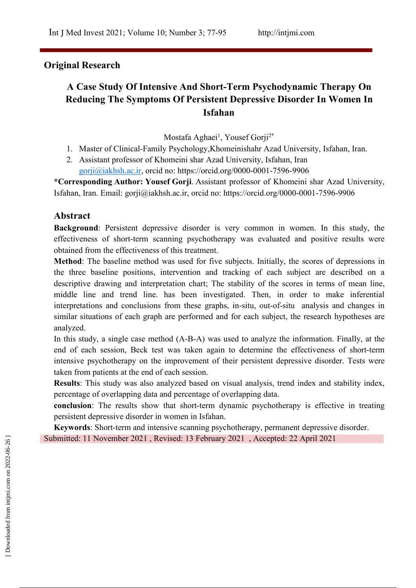## **Original Research**

# **A Case Study Of Intensive And Short-Term Psychodynamic Therapy On Reducing The Symptoms Of Persistent Depressive Disorder In Women In Isfahan**

Mostafa Aghaei<sup>1</sup>, Yousef Gorji<sup>2\*</sup>

- 1. Master of Clinical-Family Psychology,Khomeinishahr Azad University, Isfahan, Iran.
- 2. Assistant professor of Khomeini shar Azad University, Isfahan, Iran [gorji@iakhsh.ac.ir](mailto:gorji@iakhsh.ac.ir), orcid no: https://orcid.org/0000-0001-7596-9906

\*Corresponding Author: Yousef Gorji. Assistant professor of Khomeini shar Azad University, Isfahan, Iran. Email: gorji@iakhsh.ac.ir, orcid no: https://orcid.org/0000-0001-7596-9906

## **Abstract**

**Background**: Persistent depressive disorder is very common in women. In this study, the effectiveness of short-term scanning psychotherapy was evaluated and positive results were obtained from the effectiveness of this treatment.

**Method**: The baseline method was used for five subjects. Initially, the scores of depressions in the three baseline positions, intervention and tracking of each subject are described on a descriptive drawing and interpretation chart; The stability of the scores in terms of mean line, middle line and trend line. has been investigated. Then, in order to make inferential interpretations and conclusions from these graphs, in-situ, out-of-situ analysis and changes in similar situations of each graph are performed and for each subject, the research hypotheses are analyzed.

In this study, a single case method (A-B-A) was used to analyze the information. Finally, at the end of each session, Beck test was taken again to determine the effectiveness of short-term intensive psychotherapy on the improvement of their persistent depressive disorder. Tests were taken from patients at the end of each session.

**Results**: This study was also analyzed based on visual analysis, trend index and stability index, percentage of overlapping data and percentage of overlapping data.

**conclusion**: The results show that short-term dynamic psychotherapy is effective in treating persistent depressive disorder in women in Isfahan.

**Keywords**: Short-term and intensive scanning psychotherapy, permanent depressive disorder. Submitted: 11 November 2021 , Revised: 13 February 2021 , Accepted: 22 April 2021<br>2023<br>2023-06-26<br>2024<br>Examples from intervals and all on 2022-06-26 per components of the 2022-06-26 per common components of the 20<br>Examples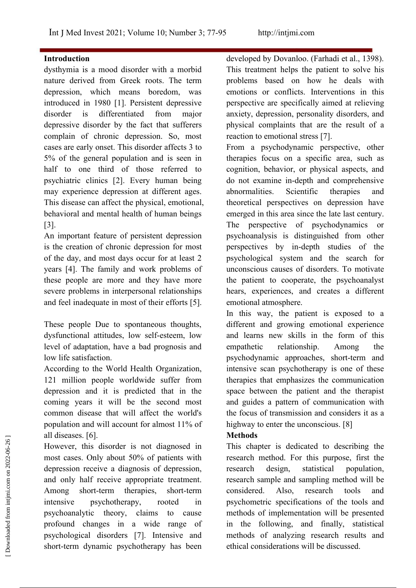## **Introduction**

dysthymia is a mood disorder with a morbid nature derived from Greek roots. The term depression, which means boredom, was introduced in 180 [1]. Persistent depressive disorder is differentiated from major anxiety, depression, personality disorders, and depressive disorder by the fact that sufferers complain of chronic depression. So, most cases are early onset. This disorder affects 3 to % of the general population and is seen in half to one third of those referred to psychiatric clinics [2]. Every human being may experience depression at different ages. This disease can affect the physical, emotional, behavioral and mental health of human beings [3].

An important feature of persistent depression is the creation of chronic depression for most of the day, and most days occur for at least 2 years [4]. The family and work problems of these people are more and they have more severe problems in interpersonal relationships and feel inadequate in most of their efforts [5].

These people Due to spontaneous thoughts, dysfunctional attitudes, low self-esteem, low level of adaptation, have a bad prognosis and low life satisfaction.

According to the World Health Organization, 121 million people worldwide suffer from depression and it is predicted that in the coming years it will be the second most common disease that will affect the world's population and will account for almost 11% of all diseases. [6].

However, this disorder is not diagnosed in most cases. Only about 50% of patients with depression receive a diagnosis of depression, and only half receive appropriate treatment. Among short-term therapies, short-term considered. Also, research intensive psychotherapy, rooted in psychoanalytic theory, claims to cause profound changes in a wide range of psychological disorders [7]. Intensive and short-term dynamic psychotherapy has been ethical considered to describing the<br>
discusses. Only about 50% of patients with<br>
the depression receive a diagnosis of depression,<br>
and only half receive appropriate treatment.<br>
Among short-term therapies, short-term cons

developed by Dovanloo. (Farhadi et al., 1398). This treatment helps the patient to solve his problems based on how he deals with emotions or conflicts. Interventions in this perspective are specifically aimed at relieving physical complaints that are the result of a reaction to emotional stress [7].

From a psychodynamic perspective, other therapies focus on a specific area, such as cognition, behavior, or physical aspects, and do not examine in-depth and comprehensive abnormalities. Scientific therapies and theoretical perspectives on depression have emerged in this area since the late last century. The perspective of psychodynamics or psychoanalysis is distinguished from other perspectives by in-depth studies of the psychological system and the search for unconscious causes of disorders. To motivate the patient to cooperate, the psychoanalyst hears, experiences, and creates a different emotional atmosphere.

In this way, the patient is exposed to a different and growing emotional experience and learns new skills in the form of this relationship. Among the psychodynamic approaches, short-term and intensive scan psychotherapy is one of these therapies that emphasizes the communication space between the patient and the therapist and guides a pattern of communication with the focus of transmission and considers it as a highway to enter the unconscious. [8]

## **Methods**

This chapter is dedicated to describing the research method. For this purpose, first the design, statistical population, research sample and sampling method will be considered. Also, research tools and psychometric specifications of the tools and methods of implementation will be presented in the following, and finally, statistical methods of analyzing research results and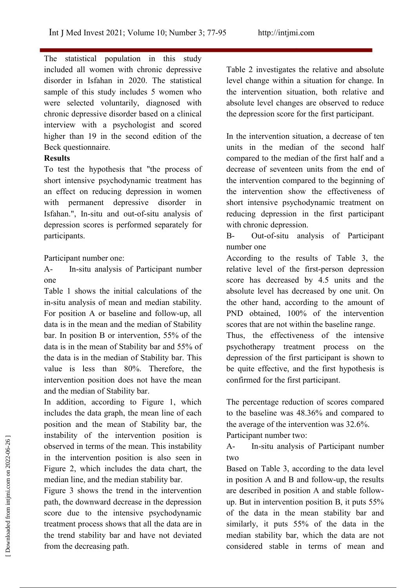The statistical population in this study included all women with chronic depressive disorder in Isfahan in 2020. The statistical sample of this study includes 5 women who were selected voluntarily, diagnosed with chronic depressive disorder based on a clinical interview with a psychologist and scored higher than 19 in the second edition of the Beck questionnaire.

## **Results**

To test the hypothesis that"the process of short intensive psychodynamic treatment has an effect on reducing depression in women with permanent depressive disorder in Isfahan.", In-situ and out-of-situ analysis of depression scores is performed separately for participants.

Participant number one:

A- In-situ analysis of Participant number one

Table 1 shows the initial calculations of the in-situ analysis of mean and median stability. For position A or baseline and follow-up, all data is in the mean and the median of Stability bar. In position  $B$  or intervention, 55% of the data is in the mean of Stability bar and 55% of the data is in the median of Stability bar. This value is less than 80%. Therefore, the intervention position does not have the mean and the median of Stability bar.

In addition, according to Figure 1, which includes the data graph, the mean line of each position and the mean of Stability bar, the instability of the intervention position is observed in terms of the mean. This instability Ain the intervention position is also seen in Figure 2, which includes the data chart, the median line, and the median stability bar.

Figure 3 shows the trend in the intervention path, the downward decrease in the depression score due to the intensive psychodynamic treatment process shows that all the data are in the trend stability bar and have not deviated from the decreasing path.

Table 2 investigates the relative and absolute level change within a situation for change. In the intervention situation, both relative and absolute level changes are observed to reduce the depression score for the first participant.

In the intervention situation, a decrease of ten units in the median of the second half compared to the median of the first half and a decrease of seventeen units from the end of the intervention compared to the beginning of the intervention show the effectiveness of short intensive psychodynamic treatment on reducing depression in the first participant with chronic depression.

B- Out-of-situ analysis of Participant number one

According to the results of Table 3, the relative level of the first-person depression score has decreased by 4.5 units and the absolute level has decreased by one unit. On the other hand, according to the amount of PND obtained, 100% of the intervention scores that are not within the baseline range.

Thus, the effectiveness of the intensive psychotherapy treatment process on the depression of the first participant is shown to be quite effective, and the first hypothesis is confirmed for the first participant.

The percentage reduction of scores compared to the baseline was 48.36% and compared to the average of the intervention was 32.6%.

Participant number two:

In-situ analysis of Participant number two

Based on Table 3, according to the data level in position A and B and follow-up, the results are described in position A and stable follow up. But in intervention position B, it puts  $55\%$ of the data in the mean stability bar and similarly, it puts  $55\%$  of the data in the median stability bar, which the data are not mstability of the intervention position is<br>
observed in terms of the mean. This instability<br>
in the intervention position is also seen in<br>
Figure 2, which includes the data chart, the<br>
median line, and the median stabilit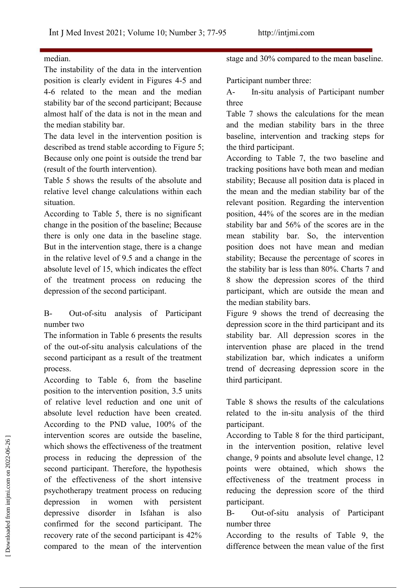## median.

The instability of the data in the intervention position is clearly evident in Figures 4-5 and 4-6 related to the mean and the median stability bar of the second participant; Because almost half of the data is not in the mean and the median stability bar.

The data level in the intervention position is described as trend stable according to Figure 5; Because only one point is outside the trend bar (result of the fourth intervention).

Table 5 shows the results of the absolute and relative level change calculations within each situation.

According to Table 5, there is no significant change in the position of the baseline; Because there is only one data in the baseline stage. But in the intervention stage, there is a change in the relative level of 9.5 and a change in the absolute level of 15, which indicates the effect of the treatment process on reducing the depression of the second participant.

B- Out-of-situ analysis of Participant number two

The information in Table 6 presents the results of the out-of-situ analysis calculations of the second participant as a result of the treatment process.

According to Table 6, from the baseline third participant. position to the intervention position, 3.5 units of relative level reduction and one unit of absolute level reduction have been created. According to the PND value, 100% of the intervention scores are outside the baseline, which shows the effectiveness of the treatment process in reducing the depression of the second participant. Therefore, the hypothesis of the effectiveness of the short intensive psychotherapy treatment process on reducing depression in women with persistent depressive disorder in Isfahan is also Bconfirmed for the second participant. The recovery rate of the second participant is 42% compared to the mean of the intervention difference between the mean value of the first Intervention scores are outside the baseline,<br>
which shows the effectiveness of the treatment<br>
process in reducing the depression of the<br>
econd participant. Therefore, the hypothesis<br>
of the effectiveness of the short inte

stage and 30% compared to the mean baseline.

Participant number three:

In-situ analysis of Participant number three

Table 7 shows the calculations for the mean and the median stability bars in the three baseline, intervention and tracking steps for the third participant.

According to Table 7, the two baseline and tracking positions have both mean and median stability; Because all position data is placed in the mean and the median stability bar of the relevant position. Regarding the intervention position, 44% of the scores are in the median stability bar and 56% of the scores are in the mean stability bar. So, the intervention position does not have mean and median stability; Because the percentage of scores in the stability bar is less than 80%. Charts 7 and 8 show the depression scores of the third participant, which are outside the mean and the median stability bars.

Figure 9 shows the trend of decreasing the depression score in the third participant and its stability bar. All depression scores in the intervention phase are placed in the trend stabilization bar, which indicates a uniform trend of decreasing depression score in the

Table 8 shows the results of the calculations related to the in-situ analysis of the third participant.

According to Table 8 for the third participant, in the intervention position, relative level change, 9 points and absolute level change, 12 points were obtained, which shows the effectiveness of the treatment process in reducing the depression score of the third participant.

Out-of-situ analysis of Participant number three

According to the results of Table 9, the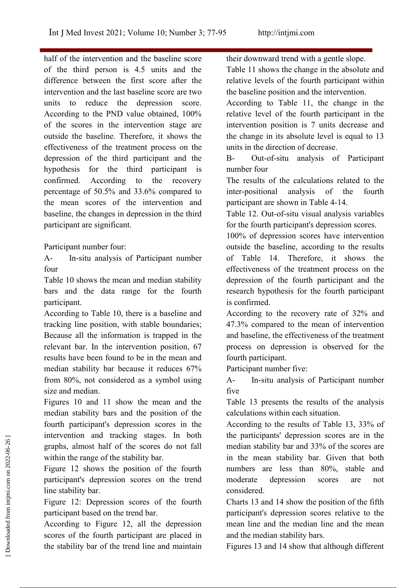half of the intervention and the baseline score of the third person is  $4.5$  units and the difference between the first score after the intervention and the last baseline score are two units to reduce the depression score. According to the PND value obtained, 100% of the scores in the intervention stage are outside the baseline. Therefore, it shows the effectiveness of the treatment process on the depression of the third participant and the hypothesis for the third participant is confirmed. According to the recovery The results of the calculations related to the percentage of 50.5% and 33.6% compared to inter-positional analysis the mean scores of the intervention and baseline, the changes in depression in the third participant are significant.

Participant number four:

A- In-situ analysis of Participant number four

Table 10 shows the mean and median stability bars and the data range for the fourth participant.

According to Table 10, there is a baseline and tracking line position, with stable boundaries; Because all the information is trapped in the relevant bar. In the intervention position, 6 results have been found to be in the mean and median stability bar because it reduces  $67\%$ from 80%, not considered as a symbol using size and median.

Figures 10 and 11 show the mean and the median stability bars and the position of the fourth participant's depression scores in the intervention and tracking stages. In both graphs, almost half of the scores do not fall within the range of the stability bar.

Figure 12 shows the position of the fourth participant's depression scores on the trend line stability bar.

Figure 12: Depression scores of the fourth participant based on the trend bar.

According to Figure 12, all the depression scores of the fourth participant are placed in the stability bar of the trend line and maintain Figures 13 and 14 show that although different

their downward trend with a gentle slope.

Table 11 shows the change in the absolute and relative levels of the fourth participant within the baseline position and the intervention.

According to Table 11, the change in the relative level of the fourth participant in the intervention position is 7 units decrease and the change in its absolute level is equal to 13 units in the direction of decrease.

Out-of-situ analysis of Participant number four

inter-positional analysis of the fourth participant are shown in Table 4-14.

Table 12. Out-of-situ visual analysis variables for the fourth participant's depression scores.

100% of depression scores have intervention outside the baseline, according to the results of Table 14. Therefore, it shows the effectiveness of the treatment process on the depression of the fourth participant and the research hypothesis for the fourth participant is confirmed.

According to the recovery rate of 32% and 4.3% compared to the mean of intervention and baseline, the effectiveness of the treatment process on depression is observed for the fourth participant.

Participant number five:

In-situ analysis of Participant number five

Table 13 presents the results of the analysis calculations within each situation.

According to the results of Table 13, 33% of the participants' depression scores are in the median stability bar and 33% of the scores are in the mean stability bar. Given that both numbers are less than 80%, stable and depression scores are not considered. Intervention and tracking stages. In both the participants' depression scores are in the graphs, almost half of the scores do not fall median stability bar and 33% of the scores are within the range of the stability bar. I

Charts 13 and 14 show the position of the fifth participant's depression scores relative to the mean line and the median line and the mean and the median stability bars.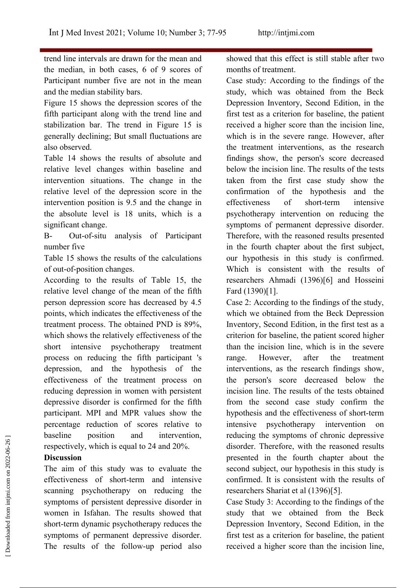trend line intervals are drawn for the mean and the median, in both cases,  $6$  of  $9$  scores of Participant number five are not in the mean and the median stability bars.

Figure 15 shows the depression scores of the fifth participant along with the trend line and stabilization bar. The trend in Figure 15 is generally declining; But small fluctuations are also observed.

Table 14 shows the results of absolute and relative level changes within baseline and intervention situations. The change in the relative level of the depression score in the intervention position is 9.5 and the change in the absolute level is 18 units, which is a significant change.

B- Out-of-situ analysis of Participant number five

Table 15 shows the results of the calculations of out-of-position changes.

According to the results of Table 15, the relative level change of the mean of the fifth person depression score has decreased by 4. points, which indicates the effectiveness of the treatment process. The obtained PND is 89%, which shows the relatively effectiveness of the short intensive psychotherapy treatment process on reducing the fifth participant 's depression, and the hypothesis of the effectiveness of the treatment process on reducing depression in women with persistent depressive disorder is confirmed for the fifth participant. MPI and MPR values show the percentage reduction of scores relative to baseline position and intervention, respectively, which is equal to 24 and 20%.

## **Discussion**

The aim of this study was to evaluate the effectiveness of short-term and intensive scanning psychotherapy on reducing the symptoms of persistent depressive disorder in women in Isfahan. The results showed that short-term dynamic psychotherapy reduces the symptoms of permanent depressive disorder. The results of the follow-up period also received a higher score than the incision line, receively, which is equal to 24 and 20%.<br>
respectively, which is equal to 24 and 20%.<br> **Discussion**<br>
The aim of this study was to evaluate the<br>
second subject, our hypothesis in this study is<br>
effectiveness of short-term a

showed that this effect is still stable after two months of treatment.

Case study: According to the findings of the study, which was obtained from the Beck Depression Inventory, Second Edition, in the first test as a criterion for baseline, the patient received a higher score than the incision line, which is in the severe range. However, after the treatment interventions, as the research findings show, the person's score decreased below the incision line. The results of the tests taken from the first case study show the confirmation of the hypothesis and the effectiveness of short-term intensive psychotherapy intervention on reducing the symptoms of permanent depressive disorder. Therefore, with the reasoned results presented in the fourth chapter about the first subject, our hypothesis in this study is confirmed. Which is consistent with the results of researchers Ahmadi (1396)[6] and Hosseini Fard (130)[1].

Case 2: According to the findings of the study, which we obtained from the Beck Depression Inventory, Second Edition, in the first test as a criterion for baseline, the patient scored higher than the incision line, which is in the severe However, after the treatment interventions, as the research findings show, the person's score decreased below the incision line. The results of the tests obtained from the second case study confirm the hypothesis and the effectiveness of short-term intensive psychotherapy intervention on reducing the symptoms of chronic depressive disorder. Therefore, with the reasoned results presented in the fourth chapter about the second subject, our hypothesis in this study is confirmed. It is consistent with the results of researchers Shariat et al (1396)[5].

Case Study 3: According to the findings of the study that we obtained from the Beck Depression Inventory, Second Edition, in the first test as a criterion for baseline, the patient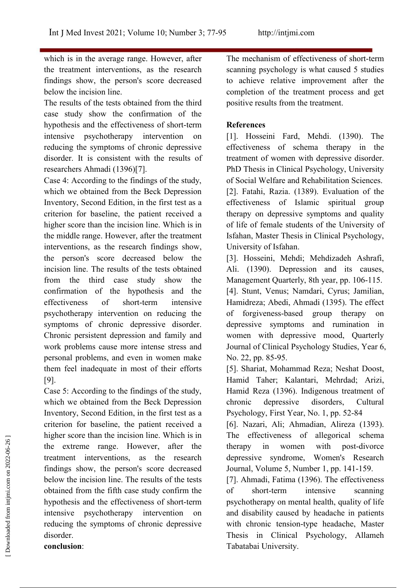which is in the average range. However, after the treatment interventions, as the research findings show, the person's score decreased below the incision line.

The results of the tests obtained from the third case study show the confirmation of the hypothesis and the effectiveness of short-term intensive psychotherapy intervention on reducing the symptoms of chronic depressive disorder. It is consistent with the results of researchers Ahmadi (1396)[7].

Case 4: According to the findings of the study, which we obtained from the Beck Depression Inventory, Second Edition, in the first test as a criterion for baseline, the patient received a higher score than the incision line. Which is in the middle range. However, after the treatment interventions, as the research findings show, the person's score decreased below the incision line. The results of the tests obtained from the third case study show the confirmation of the hypothesis and the psychotherapy intervention on reducing the symptoms of chronic depressive disorder. Chronic persistent depression and family and work problems cause more intense stress and personal problems, and even in women make them feel inadequate in most of their efforts [9].

Case 5: According to the findings of the study, which we obtained from the Beck Depression chronic Inventory, Second Edition, in the first test as a criterion for baseline, the patient received a higher score than the incision line. Which is in the extreme range. However, after the treatment interventions, as the research findings show, the person's score decreased below the incision line. The results of the tests obtained from the fifth case study confirm the of short-term intensive hypothesis and the effectiveness of short-term intensive psychotherapy intervention on reducing the symptoms of chronic depressive disorder. **conclusion**: Tabatabai University.<br>
Tabatabai University.<br>
Tabatabai University.<br>
Tabatabai University.<br>
Tabatabai University.<br>
Tabatabai University.<br>
Tabatabai University.<br>
The effectiveness of the tests and the effectiveness of the t

The mechanism of effectiveness of short-term scanning psychology is what caused 5 studies to achieve relative improvement after the completion of the treatment process and get positive results from the treatment.

## **References**

[1]. Hosseini Fard, Mehdi. (130). The effectiveness of schema therapy in the treatment of women with depressive disorder. PhD Thesis in Clinical Psychology, University of Social Welfare and Rehabilitation Sciences. [2]. Fatahi, Razia. (1389). Evaluation of the effectiveness of Islamic spiritual group therapy on depressive symptoms and quality of life of female students of the University of Isfahan, Master Thesis in Clinical Psychology, University of Isfahan.

effectiveness of short-term intensive Hamidreza; Abedi, Ahmadi (1395). The effect [3]. Hosseini, Mehdi; Mehdizadeh Ashrafi, Ali. (1390). Depression and its causes, Management Quarterly, 8th year, pp. 106-115. [4]. Stunt, Venus; Namdari, Cyrus; Jamilian, of forgiveness-based group therapy on depressive symptoms and rumination in women with depressive mood, Quarterly Journal of Clinical Psychology Studies, Year 6, No. 22, pp. 85-95.

> [5]. Shariat, Mohammad Reza; Neshat Doost, Hamid Taher; Kalantari, Mehrdad; Arizi, Hamid Reza (1396). Indigenous treatment of depressive disorders, Cultural Psychology, First Year, No. 1, pp. 52-84

> [6]. Nazari, Ali; Ahmadian, Alireza (133). The effectiveness of allegorical schema therapy in women with post-divorce depressive syndrome, Women's Research Journal, Volume 5, Number 1, pp. 141-159.

> [7]. Ahmadi, Fatima (1396). The effectiveness short-term intensive scanning psychotherapy on mental health, quality of life and disability caused by headache in patients with chronic tension-type headache, Master Thesis in Clinical Psychology, Allameh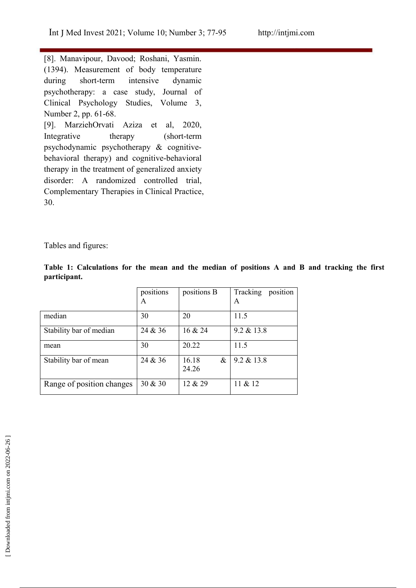[8]. Manavipour, Davood; Roshani, Yasmin. (134). Measurement of body temperature during short-term intensive dynamic psychotherapy: a case study, Journal of Clinical Psychology Studies, Volume 3, Number 2, pp. 61-68. [9]. MarziehOrvati Aziza et al, 2020, Integrative therapy (short-term psychodynamic psychotherapy & cognitive behavioral therapy) and cognitive-behavioral therapy in the treatment of generalized anxiety disorder: A randomized controlled trial, Complementary Therapies in Clinical Practice, 30.

Tables and figures:

|              | Table 1: Calculations for the mean and the median of positions A and B and tracking the first |  |  |  |  |  |  |  |  |
|--------------|-----------------------------------------------------------------------------------------------|--|--|--|--|--|--|--|--|
| participant. |                                                                                               |  |  |  |  |  |  |  |  |

|                           | positions<br>A | positions B            | Tracking<br>position<br>A |
|---------------------------|----------------|------------------------|---------------------------|
| median                    | 30             | 20                     | 11.5                      |
| Stability bar of median   | 24 & 36        | 16 & 24                | $9.2 \& 13.8$             |
| mean                      | 30             | 20.22                  | 11.5                      |
| Stability bar of mean     | 24 & 36        | 16.18<br>$\&$<br>24.26 | $9.2 \& 13.8$             |
| Range of position changes | 30 & 30        | 12 & 29                | 11 & 12                   |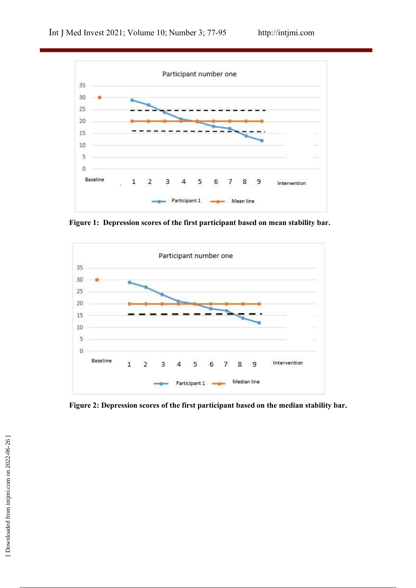

**Figure 1:** Depression scores of the first participant based on mean stability bar.



**Figure 2: Depression scores of the first participant based on the median stability bar.**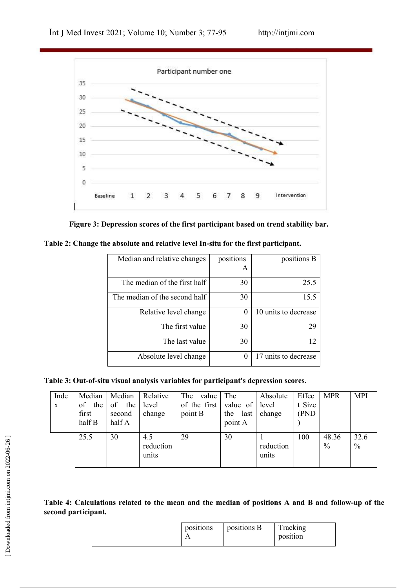



| Table 2: Change the absolute and relative level In-situ for the first participant. |  |
|------------------------------------------------------------------------------------|--|
|------------------------------------------------------------------------------------|--|

| Median and relative changes   | positions | positions B          |
|-------------------------------|-----------|----------------------|
|                               | А         |                      |
| The median of the first half  | 30        | 25.5                 |
| The median of the second half | 30        | 15.5                 |
| Relative level change         | 0         | 10 units to decrease |
| The first value               | 30        | 29                   |
| The last value                | 30        | 12                   |
| Absolute level change         | $\theta$  | 17 units to decrease |

**Table 3: Out-of-situ visual analysis variables for participant's depression scores.**

| t Size<br>of the first<br>the<br>of the<br>value of<br>level<br>of<br>level<br>(PND<br>point B<br>change<br>first<br>change<br>the<br>last<br>second<br>half B<br>half A<br>point A<br>30<br>29<br>30<br>100<br>48.36<br>32.6<br>25.5<br>4.5<br>$\frac{0}{0}$<br>reduction<br>$\%$<br>reduction<br>units<br>units | Inde        | Median | Median | Relative | The<br>value                                                                                       | The | Absolute | Effec | <b>MPR</b> | <b>MPI</b> |
|-------------------------------------------------------------------------------------------------------------------------------------------------------------------------------------------------------------------------------------------------------------------------------------------------------------------|-------------|--------|--------|----------|----------------------------------------------------------------------------------------------------|-----|----------|-------|------------|------------|
|                                                                                                                                                                                                                                                                                                                   | $\mathbf X$ |        |        |          |                                                                                                    |     |          |       |            |            |
|                                                                                                                                                                                                                                                                                                                   |             |        |        |          |                                                                                                    |     |          |       |            |            |
|                                                                                                                                                                                                                                                                                                                   |             |        |        |          |                                                                                                    |     |          |       |            |            |
|                                                                                                                                                                                                                                                                                                                   |             |        |        |          |                                                                                                    |     |          |       |            |            |
|                                                                                                                                                                                                                                                                                                                   |             |        |        |          |                                                                                                    |     |          |       |            |            |
|                                                                                                                                                                                                                                                                                                                   |             |        |        |          | Table 4: Calculations related to the mean and the median of positions A and B and follow-up of the |     |          |       |            |            |
| second participant.                                                                                                                                                                                                                                                                                               |             |        |        |          |                                                                                                    |     |          |       |            |            |
| positions<br>positions B<br>Tracking                                                                                                                                                                                                                                                                              |             |        |        |          |                                                                                                    |     |          |       |            |            |

## Table 4: Calculations related to the mean and the median of positions A and B and follow-up of the **second participant.**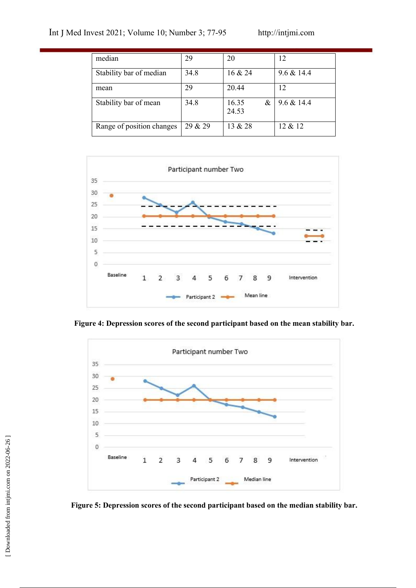| median                    | 29      | 20             | 12           |
|---------------------------|---------|----------------|--------------|
| Stability bar of median   | 34.8    | 16 & 24        | 9.6 & 14.4   |
| mean                      | 29      | 20.44          | 12           |
| Stability bar of mean     | 34.8    | 16.35<br>24.53 | & 9.6 & 14.4 |
| Range of position changes | 29 & 29 | 13 & 28        | 12 & 12      |



**Figure** 4: Depression scores of the second participant based on the mean stability bar.

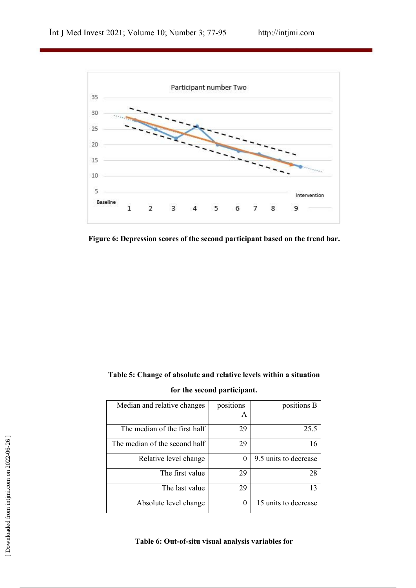

**Figure 6: Depression scores of the second participant based on the trend bar.**

## **Table 5: Change of absolute and relative levels within a situation for the second participant.**

| Median and relative changes                        | positions        | positions B           |
|----------------------------------------------------|------------------|-----------------------|
|                                                    | A                |                       |
| The median of the first half                       | 29               | 25.5                  |
| The median of the second half                      | 29               | 16                    |
| Relative level change                              | $\theta$         | 9.5 units to decrease |
| The first value                                    | 29               | 28                    |
| The last value                                     | 29               | 13                    |
| Absolute level change                              | $\boldsymbol{0}$ | 15 units to decrease  |
| Table 6: Out-of-situ visual analysis variables for |                  |                       |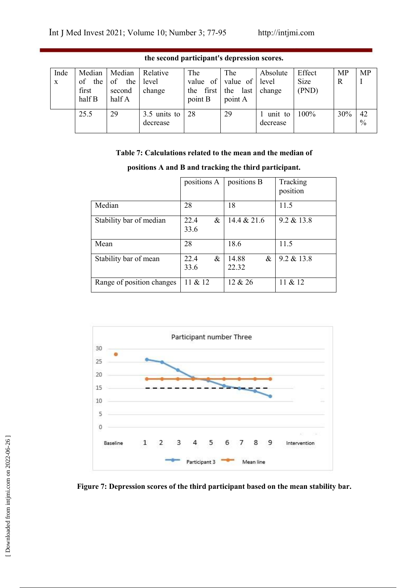| Inde<br>X | Median<br>the<br>of<br>first<br>half B | Median<br>of<br>the<br>second<br>half A | Relative<br>level<br>change | The<br>value<br>of<br>first<br>the<br>point B | The<br>value of<br>the<br>last<br>point A | Absolute<br>level<br>change | Effect<br>Size<br>(PND) | <b>MP</b><br>R | MP         |
|-----------|----------------------------------------|-----------------------------------------|-----------------------------|-----------------------------------------------|-------------------------------------------|-----------------------------|-------------------------|----------------|------------|
|           | 25.5                                   | 29                                      | 3.5 units to<br>decrease    | 28                                            | 29                                        | unit to<br>decrease         | 100%                    | 30%            | 42<br>$\%$ |

**the second participant's depression scores.**

## **Table 7: Calculations related tothe mean and the median of**

|                           | positions A       | positions B            | Tracking<br>position |
|---------------------------|-------------------|------------------------|----------------------|
| Median                    | 28                | 18                     | 11.5                 |
| Stability bar of median   | 22.4<br>&<br>33.6 | 14.4 & 21.6            | $9.2 \& 13.8$        |
| Mean                      | 28                | 18.6                   | 11.5                 |
| Stability bar of mean     | 22.4<br>&<br>33.6 | 14.88<br>$\&$<br>22.32 | $9.2 \& 13.8$        |
| Range of position changes | 11 & 12           | 12 & 26                | 11 & 12              |



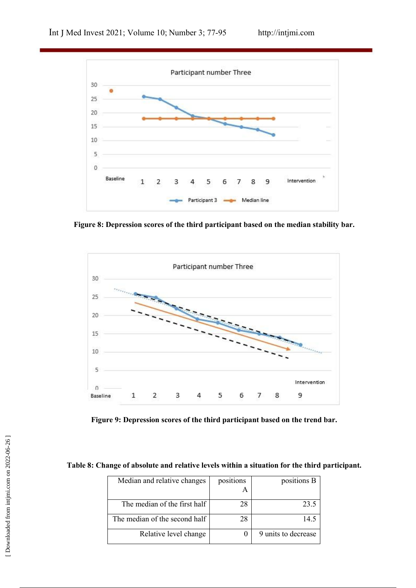

**Figure 8: Depression scores of the third participant based on the median stability bar.**



**Figure 9: Depression scores of the third participant based on the trend bar.**

**Table 8: Change of absolute and relative levels within a situation for the third participant.**

|                               |                | Table 8: Change of absolute and relative levels within a situation for the third participant. |
|-------------------------------|----------------|-----------------------------------------------------------------------------------------------|
| Median and relative changes   | positions<br>A | positions B                                                                                   |
| The median of the first half  | 28             | 23.5                                                                                          |
| The median of the second half | 28             | 14.5                                                                                          |
| Relative level change         | $\theta$       | 9 units to decrease                                                                           |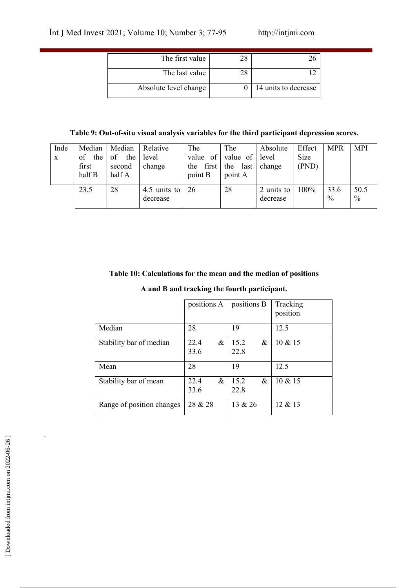| The first value       |                      |  |
|-----------------------|----------------------|--|
| The last value        |                      |  |
| Absolute level change | 14 units to decrease |  |

## **Table 9: Out-of-situ visual analysis variables for the third participant depression scores.**

| Inde<br>X | Median<br>the<br>οf<br>first<br>half B | Median<br>of<br>the<br>second<br>half A | Relative<br>level<br>change | The<br>of<br>value<br>first<br>the<br>point B | The<br>value of<br>the<br>last<br>point A | Absolute<br>level<br>change | Effect<br>Size<br>(PND) | <b>MPR</b>            | <b>MPI</b>   |
|-----------|----------------------------------------|-----------------------------------------|-----------------------------|-----------------------------------------------|-------------------------------------------|-----------------------------|-------------------------|-----------------------|--------------|
|           | 23.5                                   | 28                                      | 4.5 units to<br>decrease    | 26                                            | 28                                        | 2 units to<br>decrease      | 100%                    | 33.6<br>$\frac{0}{0}$ | 50.5<br>$\%$ |

## **Table 10: Calculations for the mean and the median of positions**

## **A and B and tracking the fourth participant.**

|                           | positions A  |      | positions B  |      | Tracking<br>position |
|---------------------------|--------------|------|--------------|------|----------------------|
| Median                    | 28           |      | 19           |      | 12.5                 |
| Stability bar of median   | 22.4<br>33.6 | $\&$ | 15.2<br>22.8 | $\&$ | $10 \& 15$           |
| Mean                      | 28           |      | 19           |      | 12.5                 |
| Stability bar of mean     | 22.4<br>33.6 | $\&$ | 15.2<br>22.8 | &    | $10 \& 15$           |
| Range of position changes | 28 & 28      |      | 13 & 26      |      | 12 & 13              |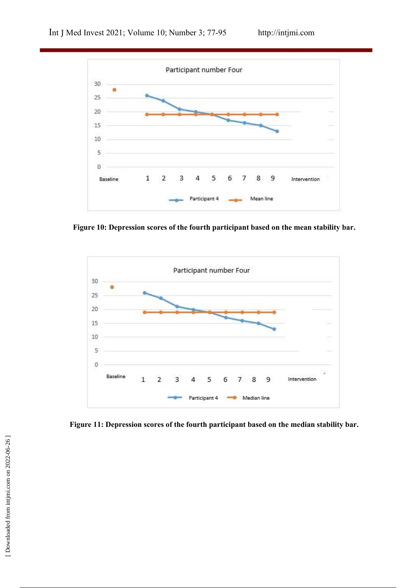

**Figure** 10: Depression scores of the fourth participant based on the mean stability bar.



**Figure** 11: Depression scores of the fourth participant based on the median stability bar.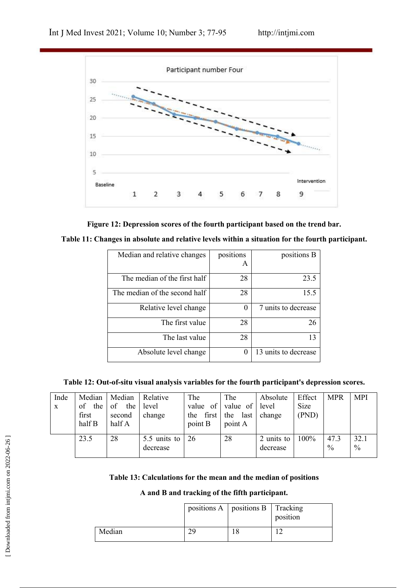



| Median and relative changes   | positions | positions B          |
|-------------------------------|-----------|----------------------|
|                               | A         |                      |
| The median of the first half  | 28        | 23.5                 |
| The median of the second half | 28        | 15.5                 |
| Relative level change         | 0         | 7 units to decrease  |
| The first value               | 28        | 26                   |
| The last value                | 28        | 13                   |
| Absolute level change         | 0         | 13 units to decrease |

**Table 12: Out-of-situ visual analysis variables for the fourth participant's depression scores.**

| Inde<br>$\mathbf{X}$ | Median<br>the<br>οt<br>first<br>half B | Median<br>the<br><sub>of</sub><br>second<br>half A | Relative<br>level<br>change      | The<br>value of<br>first $\vert$ the<br>the<br>point B | The<br>value of<br>last<br>point A | Absolute<br>level<br>change | Effect<br>Size<br>(PND) | <b>MPR</b>   | <b>MPI</b>            |
|----------------------|----------------------------------------|----------------------------------------------------|----------------------------------|--------------------------------------------------------|------------------------------------|-----------------------------|-------------------------|--------------|-----------------------|
|                      | 23.5                                   | 28                                                 | 5.5 units to $\vert$<br>decrease | 26                                                     | 28                                 | 2 units to<br>decrease      | 100%                    | 47.3<br>$\%$ | 32.1<br>$\frac{0}{0}$ |

#### **A and B and tracking of the fifth participant.**

|                                            | 23.5 | 28     | 5.5 units to<br>decrease                                                                                          | 26          | 28          | 2 units to<br>decrease | 100% | 47.3<br>$\frac{0}{0}$ | 32.1<br>$\%$ |
|--------------------------------------------|------|--------|-------------------------------------------------------------------------------------------------------------------|-------------|-------------|------------------------|------|-----------------------|--------------|
| [Downloaded from intjmi.com on 2022-06-26] |      |        | Table 13: Calculations for the mean and the median of positions<br>A and B and tracking of the fifth participant. |             |             |                        |      |                       |              |
|                                            |      |        |                                                                                                                   | positions A | positions B | Tracking<br>position   |      |                       |              |
|                                            |      | Median |                                                                                                                   | 29          | 18          | 12                     |      |                       |              |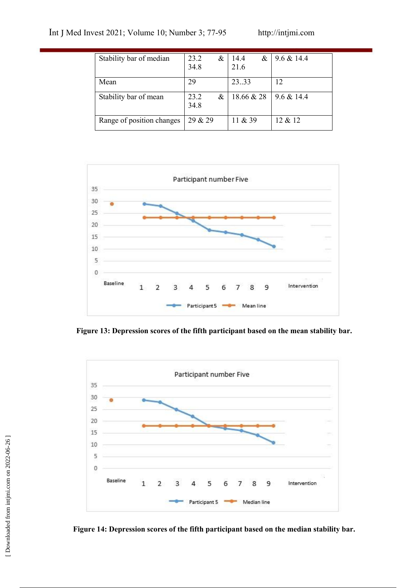| Stability bar of median   | 23.2<br>34.8 | & | 14.4<br>&<br>21.6 | $9.6 \& 14.4$ |
|---------------------------|--------------|---|-------------------|---------------|
| Mean                      | 29           |   | 23.33             | 12            |
| Stability bar of mean     | 23.2<br>34.8 | & | 18.66 & 28        | $9.6 \& 14.4$ |
| Range of position changes | 29 & 29      |   | 11 & 39           | 12 & 12       |



**Figure** 13: Depression scores of the fifth participant based on the mean stability bar.